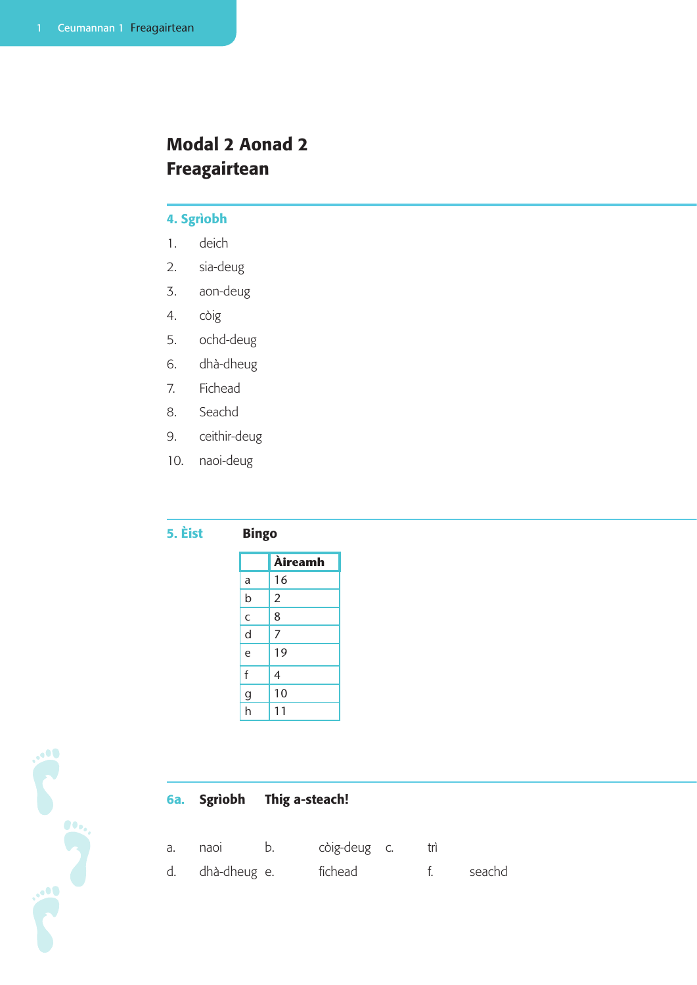# Modal 2 Aonad 2 Freagairtean

# 4. Sgrìobh

- 1. deich
- 2. sia-deug
- 3. aon-deug
- 4. còig
- 5. ochd-deug
- 6. dhà-dheug
- 7. Fichead
- 8. Seachd
- 9. ceithir-deug
- 10. naoi-deug

# 5. Èist Bingo

|                | <b>Àireamh</b> |
|----------------|----------------|
| a              | 16             |
| b              | $\overline{2}$ |
| $\mathsf{C}$   | 8              |
| $\mathsf{d}$   | 7              |
| e              | 19             |
| f              | 4              |
| $\overline{g}$ | 10             |
| h              | 11             |



# 6a. Sgrìobh Thig a-steach!

- a. naoi b. còig-deug c. trì
- d. dhà-dheug e. fichead f. seachd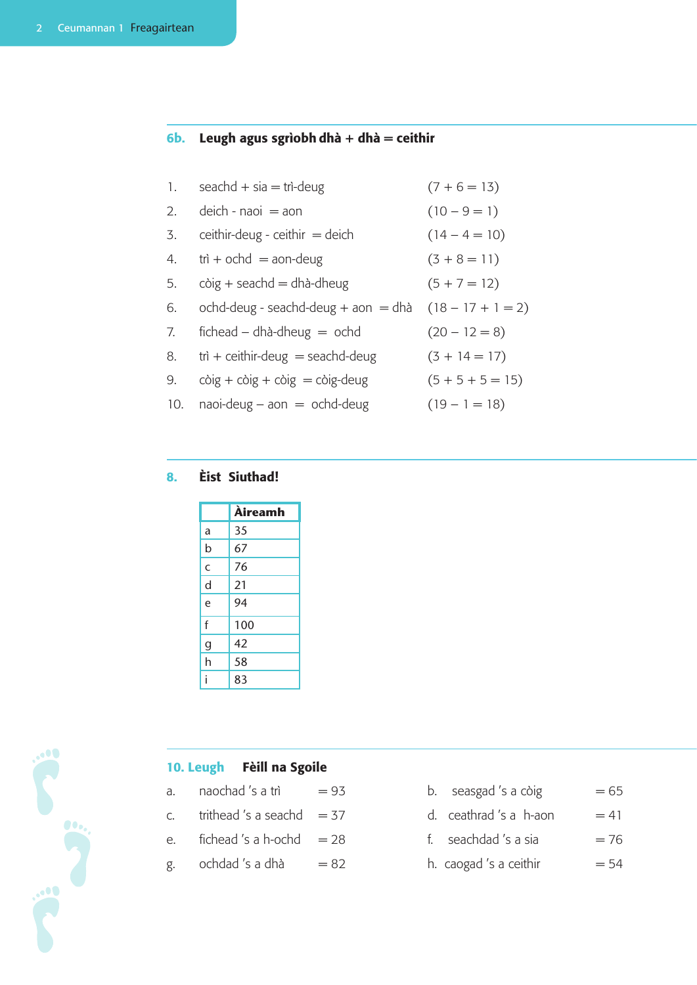#### 6b. Leugh agus sgrìobh dhà + dhà = ceithir

| 1. $seachd + sia = tri-deug$ | $(7 + 6 = 13)$ |
|------------------------------|----------------|
| 2. deich - naoi $=$ aon      | $(10 - 9 = 1)$ |

- 3. ceithir-deug ceithir  $=$  deich  $(14 4 = 10)$
- 4.  $\text{tri} + \text{ochd} = \text{aon-deug}$   $(3 + 8 = 11)$
- 5. còig + seachd = dhà-dheug  $(5 + 7 = 12)$
- 6. ochd-deug seachd-deug + aon = dhà  $(18 17 + 1 = 2)$
- 7. fichead dhà-dheug  $=$  ochd  $(20 12 = 8)$
- 8. trì + ceithir-deug = seachd-deug  $(3 + 14 = 17)$
- 9. còig + còig + còig = còig-deug  $(5 + 5 + 5 = 15)$
- 10. naoi-deug aon = ochd-deug  $(19 1 = 18)$

#### 8. Èist Siuthad!

|   | Àireamh |
|---|---------|
| a | 35      |
| b | 67      |
| C | 76      |
| d | 21      |
| e | 94      |
| f | 100     |
| g | 42      |
| h | 58      |
|   | 83      |



### 10. Leugh Fèill na Sgoile

- 
- 
- 
- 
- a. naochad 's a trì  $= 93$  b. seasgad 's a còig  $= 65$
- c. trithead 's a seachd  $= 37$  d. ceathrad 's a h-aon  $= 41$
- e. fichead 's a h-ochd  $= 28$  f. seachdad 's a sia  $= 76$
- g. ochdad 's a dhà  $= 82$  h. caogad 's a ceithir  $= 54$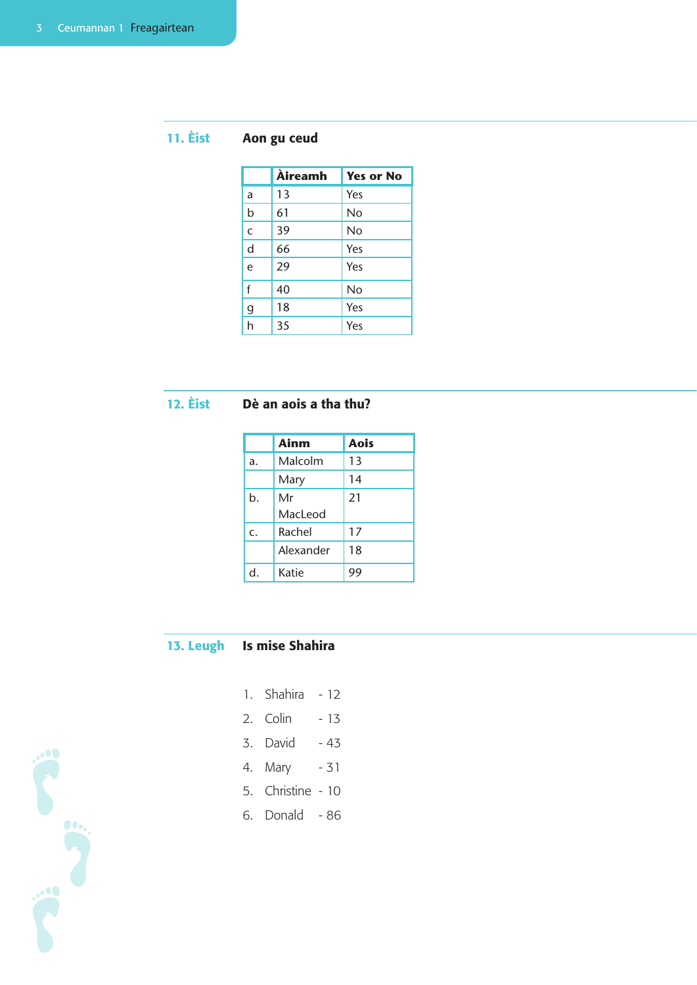# 11. Èist Aon gu ceud

|              | Àireamh | <b>Yes or No</b> |
|--------------|---------|------------------|
| a            | 13      | Yes              |
| $\mathsf b$  | 61      | <b>No</b>        |
| $\mathsf{C}$ | 39      | No               |
| $\mathsf{d}$ | 66      | Yes              |
| e            | 29      | Yes              |
| f            | 40      | No               |
| $\mathsf g$  | 18      | Yes              |
| h            | 35      | Yes              |

# 12. Èist Dè an aois a tha thu?

|    | <b>Ainm</b> | <b>Aois</b> |
|----|-------------|-------------|
| a. | Malcolm     | 13          |
|    | Mary        | 14          |
| b. | Mr          | 21          |
|    | MacLeod     |             |
| C. | Rachel      | 17          |
|    | Alexander   | 18          |
| d. | Katie       | 99          |

# 13. Leugh Is mise Shahira

- 1. Shahira 12
- 2. Colin 13
- 3. David 43
- 4. Mary 31
- 5. Christine 10
- 6. Donald 86

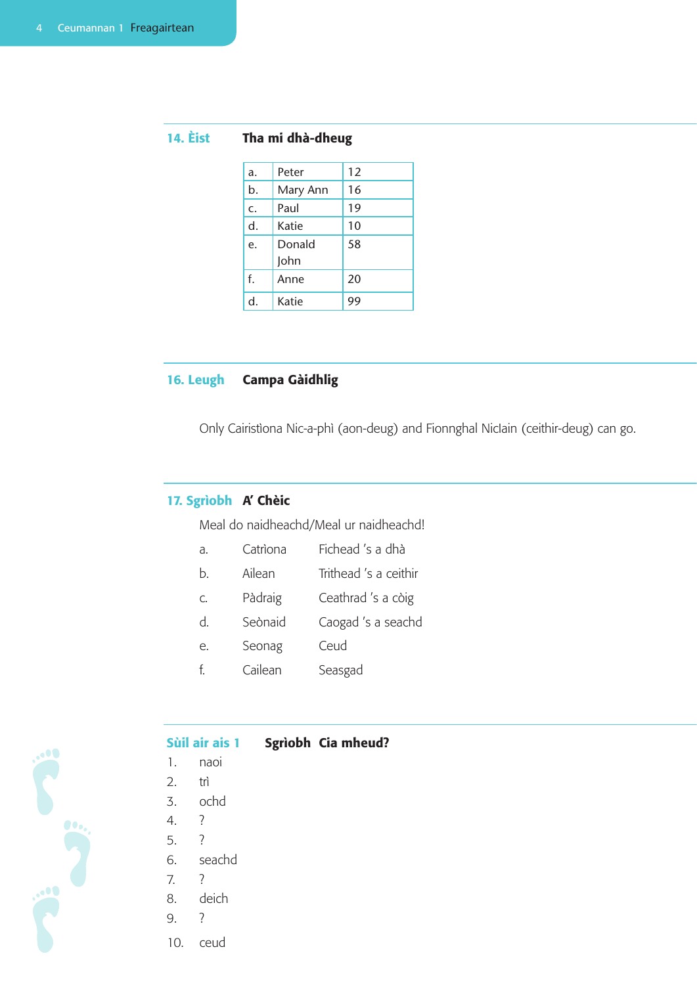|  | <b>14. Eist</b> |  |  |  |  | Tha mi dhà-dheug |
|--|-----------------|--|--|--|--|------------------|
|--|-----------------|--|--|--|--|------------------|

| a. | Peter    | 12 |
|----|----------|----|
| b. | Mary Ann | 16 |
| c. | Paul     | 19 |
| d. | Katie    | 10 |
| e. | Donald   | 58 |
|    | John     |    |
| f. | Anne     | 20 |
| d  | Katie    | 99 |

## 16. Leugh Campa Gàidhlig

Only Cairistìona Nic-a-phì (aon-deug) and Fionnghal NicIain (ceithir-deug) can go.

### 17. Sgrìobh A' Chèic

Meal do naidheachd/Meal ur naidheachd!

- a. Catrìona Fichead 's a dhà
- b. Ailean Trithead 's a ceithir
- c. Pàdraig Ceathrad 's a còig
- d. Seònaid Caogad 's a seachd
- e. Seonag Ceud
- f. Cailean Seasgad



#### Sùil air ais 1 Sgrìobh Cia mheud?

- 1. naoi
- 2. trì
- 3. ochd
- 4. ?
- 5. ?
- 6. seachd
- 7. ?
- 8. deich
- 9. ?
- 10. ceud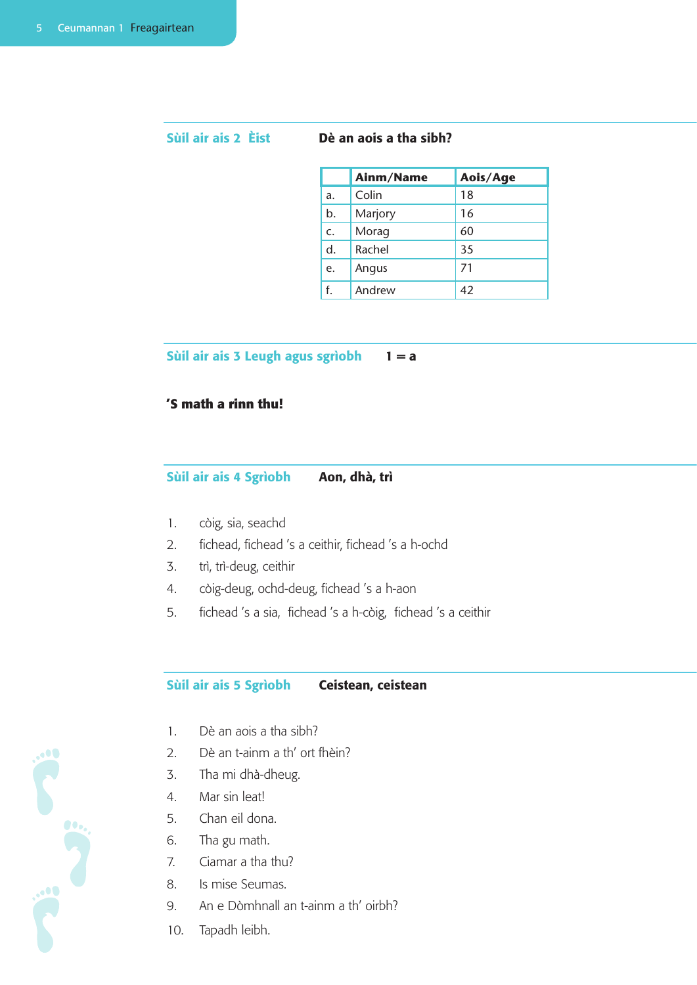#### Sùil air ais 2 Èist Dè an aois a tha sibh?

|    | Ainm/Name | Aois/Age |
|----|-----------|----------|
| a. | Colin     | 18       |
| b. | Marjory   | 16       |
| C. | Morag     | 60       |
| d. | Rachel    | 35       |
| e. | Angus     | 71       |
| f. | Andrew    | 42       |

Sùil air ais 3 Leugh agus sgrìobh  $1 = a$ 

#### **'S math a rinn thu!**

#### Sùil air ais 4 Sgrìobh Aon, dhà, trì

- 1. còig, sia, seachd
- 2. fichead, fichead 's a ceithir, fichead 's a h-ochd
- 3. trì, trì-deug, ceithir
- 4. còig-deug, ochd-deug, fichead 's a h-aon
- 5. fichead 's a sia, fichead 's a h-còig, fichead 's a ceithir

#### Sùil air ais 5 Sgrìobh Ceistean, ceistean

- 1. Dè an aois a tha sibh?
- 2. Dè an t-ainm a th' ort fhèin?
- 3. Tha mi dhà-dheug.
- 4. Mar sin leat!
- 5. Chan eil dona.
- 6. Tha gu math.
- 7. Ciamar a tha thu?
- 8. Is mise Seumas.
- 9. An e Dòmhnall an t-ainm a th' oirbh?
- 10. Tapadh leibh.